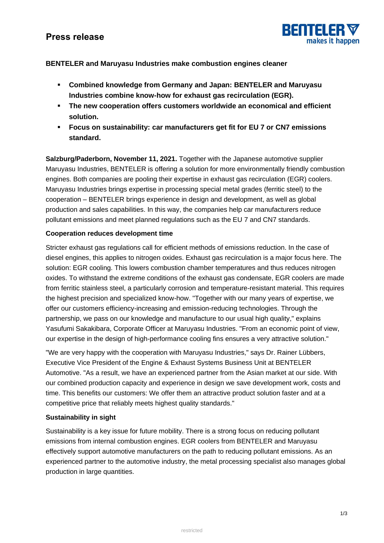# **Press release**



## **BENTELER and Maruyasu Industries make combustion engines cleaner**

- **Combined knowledge from Germany and Japan: BENTELER and Maruyasu Industries combine know-how for exhaust gas recirculation (EGR).**
- **The new cooperation offers customers worldwide an economical and efficient solution.**
- **Focus on sustainability: car manufacturers get fit for EU 7 or CN7 emissions standard.**

**Salzburg/Paderborn, November 11, 2021.** Together with the Japanese automotive supplier Maruyasu Industries, BENTELER is offering a solution for more environmentally friendly combustion engines. Both companies are pooling their expertise in exhaust gas recirculation (EGR) coolers. Maruyasu Industries brings expertise in processing special metal grades (ferritic steel) to the cooperation – BENTELER brings experience in design and development, as well as global production and sales capabilities. In this way, the companies help car manufacturers reduce pollutant emissions and meet planned regulations such as the EU 7 and CN7 standards.

## **Cooperation reduces development time**

Stricter exhaust gas regulations call for efficient methods of emissions reduction. In the case of diesel engines, this applies to nitrogen oxides. Exhaust gas recirculation is a major focus here. The solution: EGR cooling. This lowers combustion chamber temperatures and thus reduces nitrogen oxides. To withstand the extreme conditions of the exhaust gas condensate, EGR coolers are made from ferritic stainless steel, a particularly corrosion and temperature-resistant material. This requires the highest precision and specialized know-how. "Together with our many years of expertise, we offer our customers efficiency-increasing and emission-reducing technologies. Through the partnership, we pass on our knowledge and manufacture to our usual high quality," explains Yasufumi Sakakibara, Corporate Officer at Maruyasu Industries. "From an economic point of view, our expertise in the design of high-performance cooling fins ensures a very attractive solution."

"We are very happy with the cooperation with Maruyasu Industries," says Dr. Rainer Lübbers, Executive Vice President of the Engine & Exhaust Systems Business Unit at BENTELER Automotive. "As a result, we have an experienced partner from the Asian market at our side. With our combined production capacity and experience in design we save development work, costs and time. This benefits our customers: We offer them an attractive product solution faster and at a competitive price that reliably meets highest quality standards."

## **Sustainability in sight**

Sustainability is a key issue for future mobility. There is a strong focus on reducing pollutant emissions from internal combustion engines. EGR coolers from BENTELER and Maruyasu effectively support automotive manufacturers on the path to reducing pollutant emissions. As an experienced partner to the automotive industry, the metal processing specialist also manages global production in large quantities.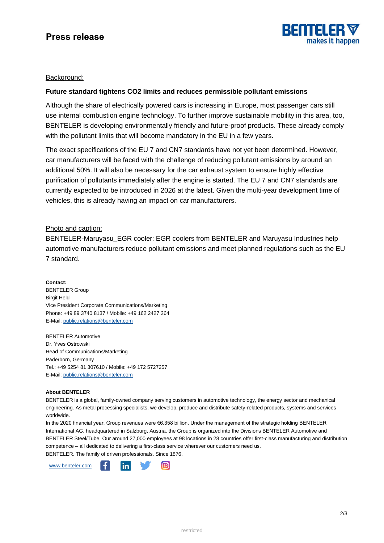

# **Press release**

### Background:

### **Future standard tightens CO2 limits and reduces permissible pollutant emissions**

Although the share of electrically powered cars is increasing in Europe, most passenger cars still use internal combustion engine technology. To further improve sustainable mobility in this area, too, BENTELER is developing environmentally friendly and future-proof products. These already comply with the pollutant limits that will become mandatory in the EU in a few years.

The exact specifications of the EU 7 and CN7 standards have not yet been determined. However, car manufacturers will be faced with the challenge of reducing pollutant emissions by around an additional 50%. It will also be necessary for the car exhaust system to ensure highly effective purification of pollutants immediately after the engine is started. The EU 7 and CN7 standards are currently expected to be introduced in 2026 at the latest. Given the multi-year development time of vehicles, this is already having an impact on car manufacturers.

### Photo and caption:

BENTELER-Maruyasu EGR cooler: EGR coolers from BENTELER and Maruyasu Industries help automotive manufacturers reduce pollutant emissions and meet planned regulations such as the EU 7 standard.

**Contact:** BENTELER Group Birgit Held Vice President Corporate Communications/Marketing Phone: +49 89 3740 8137 / Mobile: +49 162 2427 264 E-Mail: [public.relations@benteler.com](mailto:public.relations@benteler.com)

BENTELER Automotive Dr. Yves Ostrowski Head of Communications/Marketing Paderborn, Germany Tel.: +49 5254 81 307610 / Mobile: +49 172 5727257 E-Mail: [public.relations@benteler.com](mailto:public.relations@benteler.com)

#### **About BENTELER**

BENTELER is a global, family-owned company serving customers in automotive technology, the energy sector and mechanical engineering. As metal processing specialists, we develop, produce and distribute safety-related products, systems and services worldwide.

In the 2020 financial year, Group revenues were €6.358 billion. Under the management of the strategic holding BENTELER International AG, headquartered in Salzburg, Austria, the Group is organized into the Divisions BENTELER Automotive and BENTELER Steel/Tube. Our around 27,000 employees at 98 locations in 28 countries offer first-class manufacturing and distribution competence – all dedicated to delivering a first-class service wherever our customers need us. BENTELER. The family of driven professionals. Since 1876.

[www.benteler.com](http://www.benteler.com/)in